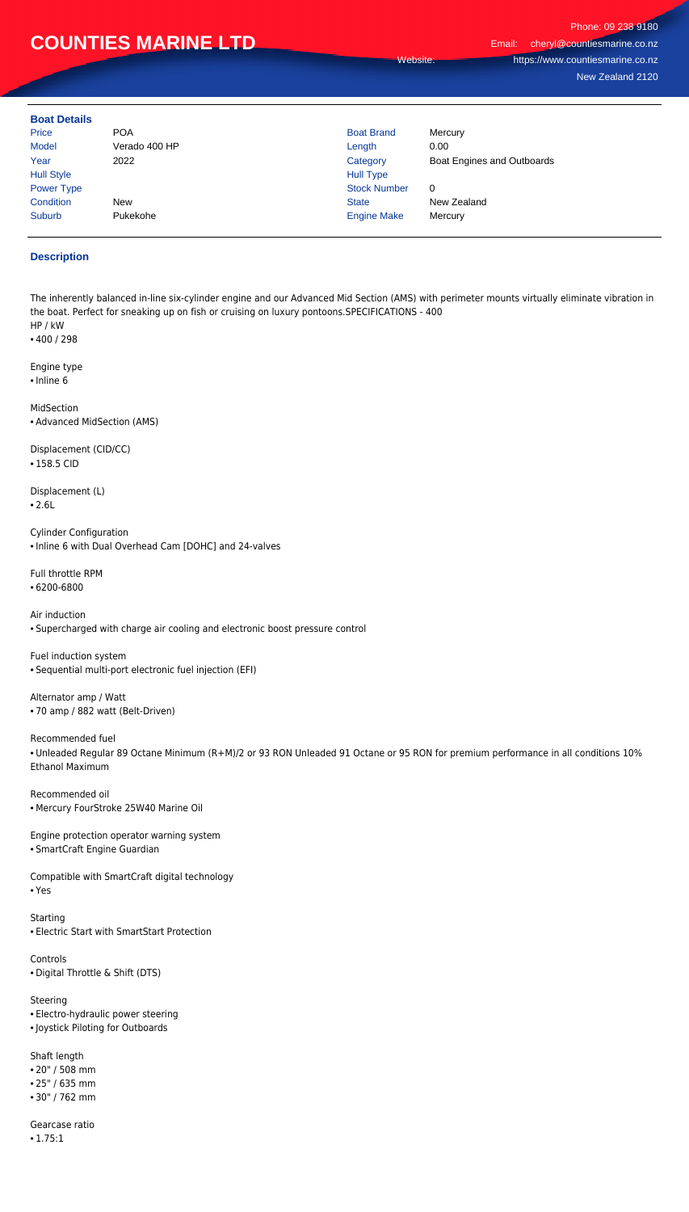## **COUNTIES MARINE LTD**

Phone: 09 238 9180 Email: cheryl@countiesmarine.co.nz Website: https://www.countiesmarine.co.nz New Zealand 2120

**Boat Details**

| PVUL PVLUID       |               |                     |                            |
|-------------------|---------------|---------------------|----------------------------|
| Price             | <b>POA</b>    | <b>Boat Brand</b>   | Mercury                    |
| <b>Model</b>      | Verado 400 HP | Length              | 0.00                       |
| Year              | 2022          | Category            | Boat Engines and Outboards |
| <b>Hull Style</b> |               | <b>Hull Type</b>    |                            |
| <b>Power Type</b> |               | <b>Stock Number</b> | 0                          |
| Condition         | <b>New</b>    | <b>State</b>        | New Zealand                |
| Suburb            | Pukekohe      | <b>Engine Make</b>  | Mercury                    |
|                   |               |                     |                            |

## **Description**

The inherently balanced in-line six-cylinder engine and our Advanced Mid Section (AMS) with perimeter mounts virtually eliminate vibration in the boat. Perfect for sneaking up on fish or cruising on luxury pontoons.SPECIFICATIONS - 400 HP / kW

• 400 / 298

Engine type • Inline 6

MidSection • Advanced MidSection (AMS)

Displacement (CID/CC) • 158.5 CID

**Starting** • Electric Start with SmartStart Protection

Displacement (L) • 2.6L

Cylinder Configuration • Inline 6 with Dual Overhead Cam [DOHC] and 24-valves

Full throttle RPM

• 6200-6800

Air induction • Supercharged with charge air cooling and electronic boost pressure control

Fuel induction system • Sequential multi-port electronic fuel injection (EFI)

Alternator amp / Watt • 70 amp / 882 watt (Belt-Driven)

Recommended fuel

• Unleaded Regular 89 Octane Minimum (R+M)/2 or 93 RON Unleaded 91 Octane or 95 RON for premium performance in all conditions 10% Ethanol Maximum

Recommended oil • Mercury FourStroke 25W40 Marine Oil

Engine protection operator warning system • SmartCraft Engine Guardian

Compatible with SmartCraft digital technology • Yes

Controls

• Digital Throttle & Shift (DTS)

Steering

• Electro-hydraulic power steering

• Joystick Piloting for Outboards

Shaft length

• 20" / 508 mm

• 25" / 635 mm

• 30" / 762 mm

Gearcase ratio

• 1.75:1